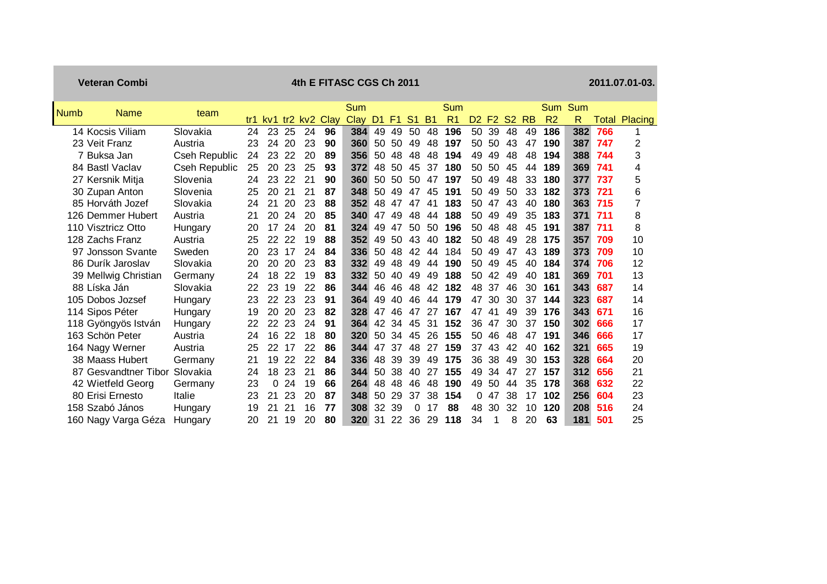| <b>Veteran Combi</b> |                      | 4th E FITASC CGS Ch 2011 |     |    |           |      |      |                |                |                |           |                |                |       |           |           | 2011.07.01-03. |     |       |         |
|----------------------|----------------------|--------------------------|-----|----|-----------|------|------|----------------|----------------|----------------|-----------|----------------|----------------|-------|-----------|-----------|----------------|-----|-------|---------|
| <b>Numb</b><br>Name  | team                 |                          |     |    |           |      | Sum  |                |                |                |           | Sum            |                |       |           |           | <b>Sum</b>     | Sum |       |         |
|                      |                      | tr1                      | kv1 |    | $tr2$ kv2 | Clay | Clay | D <sub>1</sub> | F <sub>1</sub> | S <sub>1</sub> | <b>B1</b> | R <sub>1</sub> | D <sub>2</sub> | F2    | <b>S2</b> | <b>RB</b> | R <sub>2</sub> | R   | Total | Placing |
| 14 Kocsis Viliam     | Slovakia             | 24                       | 23  | 25 | 24        | 96   | 384  | 49             | 49             | 50             | 48        | 196            | 50             | 39    | 48        | 49        | 186            | 382 | 766   | 1       |
| 23 Veit Franz        | Austria              | 23                       | 24  | 20 | 23        | 90   | 360  | 50             | .50            | 49             | 48        | 197            | 50             | 50    | 43        | 47        | 190            | 387 | 747   | 2       |
| 7 Buksa Jan          | Cseh Republic        | 24                       | 23  | 22 | 20        | 89   | 356  | 50             | 48             | 48             | 48        | 194            | 49             | 49    | 48        | 48        | 194            | 388 | 744   | 3       |
| 84 Bastl Vaclav      | <b>Cseh Republic</b> | 25                       | 20  | 23 | 25        | 93   | 372  | 48             | 50             | 45             | 37        | 180            | 50             | 50    | 45        | 44        | 189            | 369 | 741   | 4       |
| 27 Kersnik Mitja     | Slovenia             | 24                       | 23  | 22 | 21        | 90   | 360  | 50             | 50             | 50             | 47        | 197            | 50             | 49    | 48        | 33        | 180            | 377 | 737   | 5       |
| 30 Zupan Anton       | Slovenia             | 25                       | 20  | 21 | 21        | 87   | 348  | 50             | 49             | 47             | 45        | 191            | 50             | 49    | 50        | 33        | 182            | 373 | 721   | 6       |
| 85 Horváth Jozef     | Slovakia             | 24                       | 21  | 20 | 23        | 88   | 352  | 48             | 47             | 47             | 41        | 183            | 50             | 47    | 43        | 40        | 180            | 363 | 715   | 7       |
| 126 Demmer Hubert    | Austria              | 21                       | 20  | 24 | 20        | 85   | 340  | 47             | 49             | 48             | 44        | 188            | 50             | 49    | 49        | 35        | 183            | 371 | 711   | 8       |
| 110 Visztricz Otto   | Hungary              | 20                       | 17  | 24 | 20        | 81   | 324  | 49             | 47             | 50             | 50        | 196            | 50             | 48    | 48        | 45        | 191            | 387 | 711   | 8       |
| 128 Zachs Franz      | Austria              | 25                       | 22  | 22 | 19        | 88   | 352  | 49             | 50             | 43             | 40        | 182            | 50             | 48    | 49        | 28        | 175            | 357 | 709   | 10      |
| 97 Jonsson Svante    | Sweden               | 20                       | 23  | 17 | 24        | 84   | 336  | 50             | 48             | 42             | 44        | 184            | 50             | 49    | 47        | 43        | 189            | 373 | 709   | 10      |
| 86 Durík Jaroslav    | Slovakia             | 20                       | 20  | 20 | 23        | 83   | 332  | 49             | 48             | 49             | 44        | 190            | 50             | 49    | 45        | 40        | 184            | 374 | 706   | 12      |
| 39 Mellwig Christian | Germany              | 24                       | 18  | 22 | 19        | 83   | 332  | 50             | 40             | 49             | 49        | 188            | 50             | 42    | 49        | 40        | 181            | 369 | 701   | 13      |
| 88 Líska Ján         | Slovakia             | 22                       | 23  | 19 | 22        | 86   | 344  | 46             | 46             | 48             | 42        | 182            |                | 48 37 | 46        | 30        | 161            | 343 | 687   | 14      |
| 105 Dobos Jozsef     | Hungary              | 23                       | 22  | 23 | 23        | 91   | 364  | 49             | 40             | 46             | 44        | 179            | 47             | 30    | 30        | 37        | 144            | 323 | 687   | 14      |
| 114 Sipos Péter      | Hungary              | 19                       | 20  | 20 | 23        | 82   | 328  | 47             | 46             | 47             | 27        | 167            | 47             | 41    | 49        | 39        | 176            | 343 | 671   | 16      |
| 118 Gyöngyös István  | Hungary              | 22                       | 22  | 23 | 24        | 91   | 364  | 42             | 34             | 45             | 31        | 152            | 36             | 47    | 30        | 37        | 150            | 302 | 666   | 17      |
| 163 Schön Peter      | Austria              | 24                       | 16  | 22 | 18        | 80   | 320  | 50             | 34             | 45             | 26        | 155            | 50             | 46    | 48        | 47        | 191            | 346 | 666   | 17      |
| 164 Nagy Werner      | Austria              | 25                       | 22  | 17 | 22        | 86   | 344  | 47             | 37             | 48             | 27        | 159            | 37             | 43    | 42        | 40        | 162            | 321 | 665   | 19      |
| 38 Maass Hubert      | Germany              | 21                       | 19  | 22 | 22        | 84   | 336  | 48             | 39             | 39             | 49        | 175            | 36             | -38   | 49        | 30        | 153            | 328 | 664   | 20      |
| 87 Gesvandtner Tibor | Slovakia             | 24                       | 18  | 23 | 21        | 86   | 344  | 50             | 38             | 40             | 27        | 155            | 49             | 34    | 47        | 27        | 157            | 312 | 656   | 21      |
| 42 Wietfeld Georg    | Germany              | 23                       | 0   | 24 | 19        | 66   | 264  | 48             | 48             | 46             | 48        | 190            | 49             | 50    | 44        | 35        | 178            | 368 | 632   | 22      |
| 80 Erisi Ernesto     | Italie               | 23                       | 21  | 23 | 20        | 87   | 348  | 50             | 29             | 37             | 38        | 154            | 0              | 47    | 38        | 17        | 102            | 256 | 604   | 23      |
| 158 Szabó János      | Hungary              | 19                       | 21  | 21 | 16        | 77   | 308  | 32             | 39             | 0              | 17        | 88             | 48             | 30    | 32        | 10        | 120            | 208 | 516   | 24      |
| 160 Nagy Varga Géza  | Hungary              | 20                       | 21  | 19 | 20        | 80   | 320  | 31             | 22             | 36             | 29        | 118            | 34             | 1     | 8         | 20        | 63             | 181 | 501   | 25      |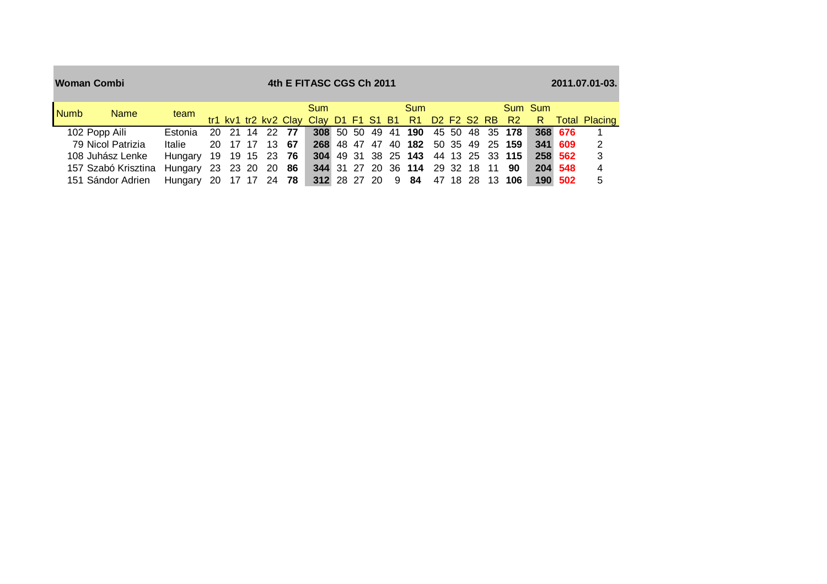|             | <b>Woman Combi</b>  |                        | 4th E FITASC CGS Ch 2011 |  |             |                |                                                                       |  |  |  |  |                                     |  |  |  |  |                 | 2011.07.01-03. |         |               |  |  |  |
|-------------|---------------------|------------------------|--------------------------|--|-------------|----------------|-----------------------------------------------------------------------|--|--|--|--|-------------------------------------|--|--|--|--|-----------------|----------------|---------|---------------|--|--|--|
| <b>Numb</b> | <b>Name</b>         | team                   |                          |  |             |                | <b>Sum</b><br>tr1 kv1 tr2 kv2 Clay Clay D1 F1 S1 B1 R1 D2 F2 S2 RB R2 |  |  |  |  | <b>Sum</b>                          |  |  |  |  |                 | Sum Sum<br>R.  |         | Total Placing |  |  |  |
|             | 102 Popp Aili       | Estonia                |                          |  |             | 20 21 14 22 77 |                                                                       |  |  |  |  | 308 50 50 49 41 190                 |  |  |  |  | 45 50 48 35 178 |                | 368 676 |               |  |  |  |
|             | 79 Nicol Patrizia   | Italie                 |                          |  | 20 17 17 13 | -67            |                                                                       |  |  |  |  | 268 48 47 47 40 182 50 35 49 25 159 |  |  |  |  |                 |                | 341 609 | 2             |  |  |  |
|             | 108 Juhász Lenke    | Hungary                |                          |  |             | 19 19 15 23 76 |                                                                       |  |  |  |  | 304 49 31 38 25 143 44 13 25 33 115 |  |  |  |  |                 |                | 258 562 | 3             |  |  |  |
|             | 157 Szabó Krisztina | Hungary                |                          |  | 23 23 20 20 | - 86           |                                                                       |  |  |  |  | 344 31 27 20 36 114 29 32 18 11 90  |  |  |  |  |                 |                | 204 548 | 4             |  |  |  |
|             | 151 Sándor Adrien   | Hungary 20 17 17 24 78 |                          |  |             |                |                                                                       |  |  |  |  | 312 28 27 20 9 84 47 18 28 13 106   |  |  |  |  |                 |                | 190 502 | 5             |  |  |  |

the control of the control of the control of the control of the control of the control of the control of the c